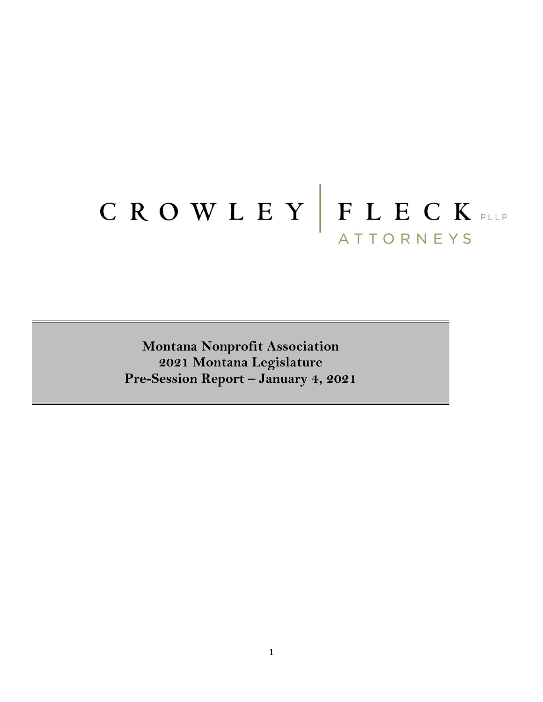# CROWLEY FLECK ATTORNEYS

**Montana Nonprofit Association 2021 Montana Legislature Pre-Session Report – January 4, 2021**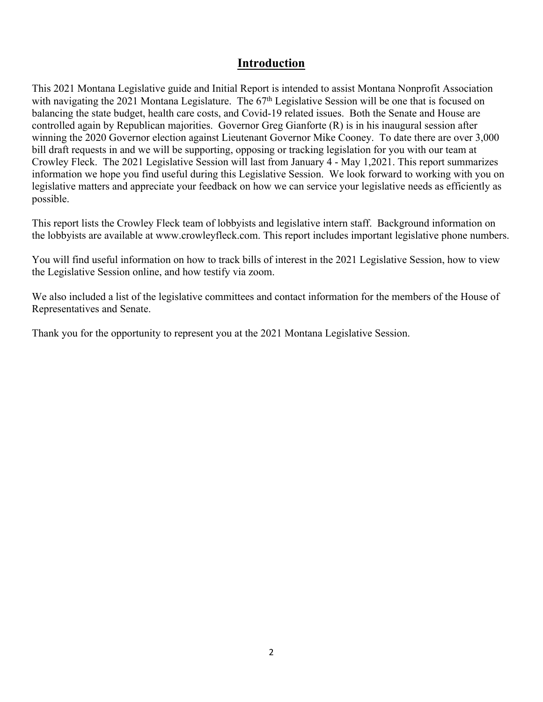## **Introduction**

This 2021 Montana Legislative guide and Initial Report is intended to assist Montana Nonprofit Association with navigating the 2021 Montana Legislature. The 67<sup>th</sup> Legislative Session will be one that is focused on balancing the state budget, health care costs, and Covid-19 related issues. Both the Senate and House are controlled again by Republican majorities. Governor Greg Gianforte (R) is in his inaugural session after winning the 2020 Governor election against Lieutenant Governor Mike Cooney. To date there are over 3,000 bill draft requests in and we will be supporting, opposing or tracking legislation for you with our team at Crowley Fleck. The 2021 Legislative Session will last from January 4 - May 1,2021. This report summarizes information we hope you find useful during this Legislative Session. We look forward to working with you on legislative matters and appreciate your feedback on how we can service your legislative needs as efficiently as possible.

This report lists the Crowley Fleck team of lobbyists and legislative intern staff. Background information on the lobbyists are available at www.crowleyfleck.com. This report includes important legislative phone numbers.

You will find useful information on how to track bills of interest in the 2021 Legislative Session, how to view the Legislative Session online, and how testify via zoom.

We also included a list of the legislative committees and contact information for the members of the House of Representatives and Senate.

Thank you for the opportunity to represent you at the 2021 Montana Legislative Session.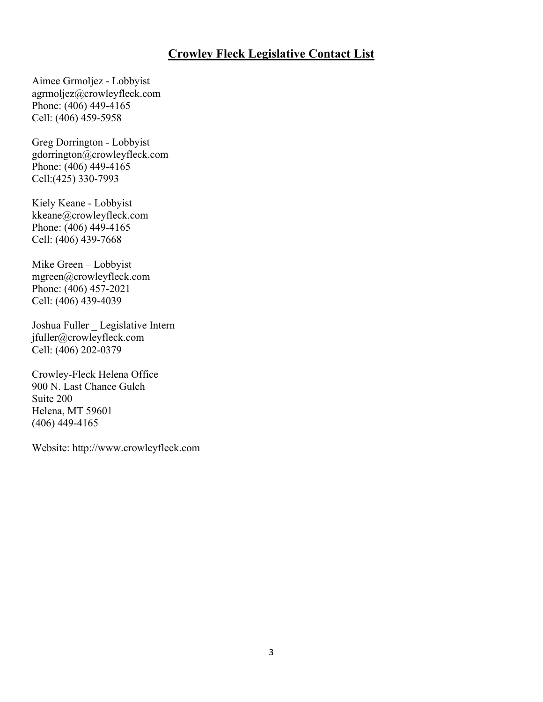## **Crowley Fleck Legislative Contact List**

Aimee Grmoljez - Lobbyist agrmoljez@crowleyfleck.com Phone: (406) 449-4165 Cell: (406) 459-5958

Greg Dorrington - Lobbyist gdorrington@crowleyfleck.com Phone: (406) 449-4165 Cell:(425) 330-7993

Kiely Keane - Lobbyist kkeane@crowleyfleck.com Phone: (406) 449-4165 Cell: (406) 439-7668

Mike Green – Lobbyist mgreen@crowleyfleck.com Phone: (406) 457-2021 Cell: (406) 439-4039

Joshua Fuller \_ Legislative Intern jfuller@crowleyfleck.com Cell: (406) 202-0379

Crowley-Fleck Helena Office 900 N. Last Chance Gulch Suite 200 Helena, MT 59601 (406) 449-4165

Website: http://www.crowleyfleck.com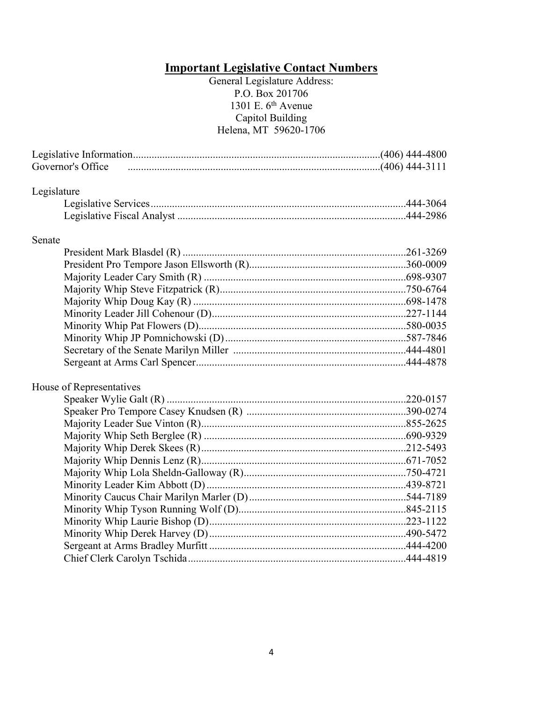### **Important Legislative Contact Numbers**

#### General Legislature Address: P.O. Box 201706 1301 E. 6th Avenue Capitol Building Helena, MT 59620-1706

| Governor's Office        |  |  |  |
|--------------------------|--|--|--|
| Legislature              |  |  |  |
|                          |  |  |  |
|                          |  |  |  |
| Senate                   |  |  |  |
|                          |  |  |  |
|                          |  |  |  |
|                          |  |  |  |
|                          |  |  |  |
|                          |  |  |  |
|                          |  |  |  |
|                          |  |  |  |
|                          |  |  |  |
|                          |  |  |  |
|                          |  |  |  |
| House of Representatives |  |  |  |
|                          |  |  |  |
|                          |  |  |  |
|                          |  |  |  |
|                          |  |  |  |
|                          |  |  |  |
|                          |  |  |  |
|                          |  |  |  |
|                          |  |  |  |
|                          |  |  |  |
|                          |  |  |  |
|                          |  |  |  |
|                          |  |  |  |
|                          |  |  |  |
|                          |  |  |  |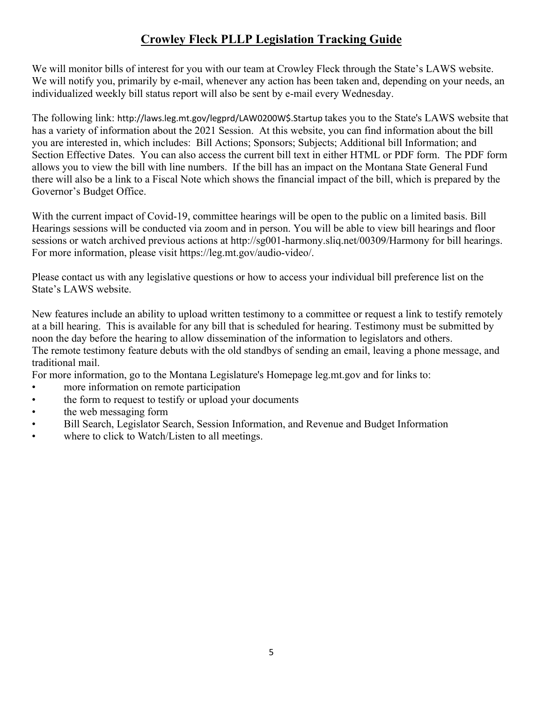# **Crowley Fleck PLLP Legislation Tracking Guide**

We will monitor bills of interest for you with our team at Crowley Fleck through the State's LAWS website. We will notify you, primarily by e-mail, whenever any action has been taken and, depending on your needs, an individualized weekly bill status report will also be sent by e-mail every Wednesday.

The following link: http://laws.leg.mt.gov/legprd/LAW0200W\$.Startup takes you to the State's LAWS website that has a variety of information about the 2021 Session. At this website, you can find information about the bill you are interested in, which includes: Bill Actions; Sponsors; Subjects; Additional bill Information; and Section Effective Dates. You can also access the current bill text in either HTML or PDF form. The PDF form allows you to view the bill with line numbers. If the bill has an impact on the Montana State General Fund there will also be a link to a Fiscal Note which shows the financial impact of the bill, which is prepared by the Governor's Budget Office.

With the current impact of Covid-19, committee hearings will be open to the public on a limited basis. Bill Hearings sessions will be conducted via zoom and in person. You will be able to view bill hearings and floor sessions or watch archived previous actions at http://sg001-harmony.sliq.net/00309/Harmony for bill hearings. For more information, please visit https://leg.mt.gov/audio-video/.

Please contact us with any legislative questions or how to access your individual bill preference list on the State's LAWS website.

New features include an ability to upload written testimony to a committee or request a link to testify remotely at a bill hearing. This is available for any bill that is scheduled for hearing. Testimony must be submitted by noon the day before the hearing to allow dissemination of the information to legislators and others. The remote testimony feature debuts with the old standbys of sending an email, leaving a phone message, and traditional mail.

For more information, go to the Montana Legislature's Homepage leg.mt.gov and for links to:

- more information on remote participation
- the form to request to testify or upload your documents
- the web messaging form
- Bill Search, Legislator Search, Session Information, and Revenue and Budget Information
- where to click to Watch/Listen to all meetings.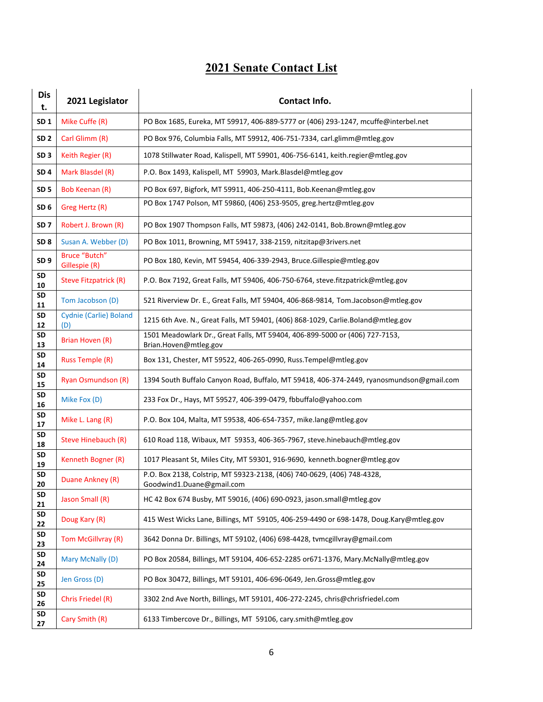# **2021 Senate Contact List**

| <b>Dis</b><br>t. | 2021 Legislator                | Contact Info.                                                                                        |
|------------------|--------------------------------|------------------------------------------------------------------------------------------------------|
| SD <sub>1</sub>  | Mike Cuffe (R)                 | PO Box 1685, Eureka, MT 59917, 406-889-5777 or (406) 293-1247, mcuffe@interbel.net                   |
| SD <sub>2</sub>  | Carl Glimm (R)                 | PO Box 976, Columbia Falls, MT 59912, 406-751-7334, carl.glimm@mtleg.gov                             |
| SD <sub>3</sub>  | Keith Regier (R)               | 1078 Stillwater Road, Kalispell, MT 59901, 406-756-6141, keith.regier@mtleg.gov                      |
| SD <sub>4</sub>  | Mark Blasdel (R)               | P.O. Box 1493, Kalispell, MT 59903, Mark.Blasdel@mtleg.gov                                           |
| SD <sub>5</sub>  | Bob Keenan (R)                 | PO Box 697, Bigfork, MT 59911, 406-250-4111, Bob.Keenan@mtleg.gov                                    |
| SD <sub>6</sub>  | Greg Hertz (R)                 | PO Box 1747 Polson, MT 59860, (406) 253-9505, greg.hertz@mtleg.gov                                   |
| SD <sub>7</sub>  | Robert J. Brown (R)            | PO Box 1907 Thompson Falls, MT 59873, (406) 242-0141, Bob.Brown@mtleg.gov                            |
| SD <sub>8</sub>  | Susan A. Webber (D)            | PO Box 1011, Browning, MT 59417, 338-2159, nitzitap@3rivers.net                                      |
| SD <sub>9</sub>  | Bruce "Butch"<br>Gillespie (R) | PO Box 180, Kevin, MT 59454, 406-339-2943, Bruce. Gillespie@mtleg.gov                                |
| SD<br>10         | Steve Fitzpatrick (R)          | P.O. Box 7192, Great Falls, MT 59406, 406-750-6764, steve.fitzpatrick@mtleg.gov                      |
| SD<br>11         | Tom Jacobson (D)               | 521 Riverview Dr. E., Great Falls, MT 59404, 406-868-9814, Tom.Jacobson@mtleg.gov                    |
| <b>SD</b><br>12  | Cydnie (Carlie) Boland<br>(D)  | 1215 6th Ave. N., Great Falls, MT 59401, (406) 868-1029, Carlie.Boland@mtleg.gov                     |
| <b>SD</b><br>13  | Brian Hoven (R)                | 1501 Meadowlark Dr., Great Falls, MT 59404, 406-899-5000 or (406) 727-7153,<br>Brian.Hoven@mtleg.gov |
| <b>SD</b><br>14  | <b>Russ Temple (R)</b>         | Box 131, Chester, MT 59522, 406-265-0990, Russ. Tempel@mtleg.gov                                     |
| <b>SD</b><br>15  | <b>Ryan Osmundson (R)</b>      | 1394 South Buffalo Canyon Road, Buffalo, MT 59418, 406-374-2449, ryanosmundson@gmail.com             |
| SD<br>16         | Mike Fox (D)                   | 233 Fox Dr., Hays, MT 59527, 406-399-0479, fbbuffalo@yahoo.com                                       |
| <b>SD</b><br>17  | Mike L. Lang (R)               | P.O. Box 104, Malta, MT 59538, 406-654-7357, mike.lang@mtleg.gov                                     |
| <b>SD</b><br>18  | Steve Hinebauch (R)            | 610 Road 118, Wibaux, MT 59353, 406-365-7967, steve.hinebauch@mtleg.gov                              |
| <b>SD</b><br>19  | Kenneth Bogner (R)             | 1017 Pleasant St, Miles City, MT 59301, 916-9690, kenneth.bogner@mtleg.gov                           |
| SD<br>20         | Duane Ankney (R)               | P.O. Box 2138, Colstrip, MT 59323-2138, (406) 740-0629, (406) 748-4328,<br>Goodwind1.Duane@gmail.com |
| SD<br>21         | Jason Small (R)                | HC 42 Box 674 Busby, MT 59016, (406) 690-0923, jason.small@mtleg.gov                                 |
| SD<br>22         | Doug Kary (R)                  | 415 West Wicks Lane, Billings, MT 59105, 406-259-4490 or 698-1478, Doug.Kary@mtleg.gov               |
| SD<br>23         | Tom McGillvray (R)             | 3642 Donna Dr. Billings, MT 59102, (406) 698-4428, tvmcgillvray@gmail.com                            |
| SD<br>24         | Mary McNally (D)               | PO Box 20584, Billings, MT 59104, 406-652-2285 or671-1376, Mary.McNally@mtleg.gov                    |
| SD<br>25         | Jen Gross (D)                  | PO Box 30472, Billings, MT 59101, 406-696-0649, Jen. Gross@mtleg.gov                                 |
| SD<br>26         | Chris Friedel (R)              | 3302 2nd Ave North, Billings, MT 59101, 406-272-2245, chris@chrisfriedel.com                         |
| SD<br>27         | Cary Smith (R)                 | 6133 Timbercove Dr., Billings, MT 59106, cary.smith@mtleg.gov                                        |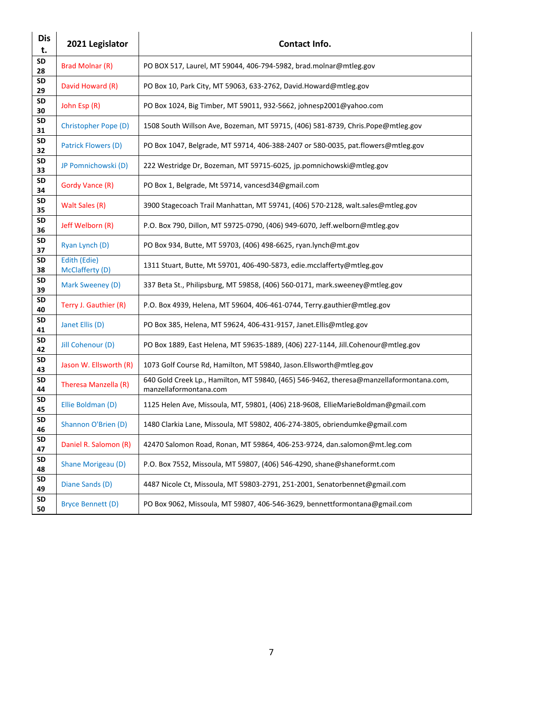| <b>Dis</b><br>t. | 2021 Legislator                 | Contact Info.                                                                                                     |
|------------------|---------------------------------|-------------------------------------------------------------------------------------------------------------------|
| <b>SD</b><br>28  | Brad Molnar (R)                 | PO BOX 517, Laurel, MT 59044, 406-794-5982, brad.molnar@mtleg.gov                                                 |
| SD<br>29         | David Howard (R)                | PO Box 10, Park City, MT 59063, 633-2762, David.Howard@mtleg.gov                                                  |
| <b>SD</b><br>30  | John Esp (R)                    | PO Box 1024, Big Timber, MT 59011, 932-5662, johnesp2001@yahoo.com                                                |
| SD<br>31         | Christopher Pope (D)            | 1508 South Willson Ave, Bozeman, MT 59715, (406) 581-8739, Chris.Pope@mtleg.gov                                   |
| <b>SD</b><br>32  | Patrick Flowers (D)             | PO Box 1047, Belgrade, MT 59714, 406-388-2407 or 580-0035, pat.flowers@mtleg.gov                                  |
| <b>SD</b><br>33  | JP Pomnichowski (D)             | 222 Westridge Dr, Bozeman, MT 59715-6025, jp.pomnichowski@mtleg.gov                                               |
| <b>SD</b><br>34  | Gordy Vance (R)                 | PO Box 1, Belgrade, Mt 59714, vancesd34@gmail.com                                                                 |
| <b>SD</b><br>35  | Walt Sales (R)                  | 3900 Stagecoach Trail Manhattan, MT 59741, (406) 570-2128, walt.sales@mtleg.gov                                   |
| <b>SD</b><br>36  | Jeff Welborn (R)                | P.O. Box 790, Dillon, MT 59725-0790, (406) 949-6070, Jeff.welborn@mtleg.gov                                       |
| SD<br>37         | Ryan Lynch (D)                  | PO Box 934, Butte, MT 59703, (406) 498-6625, ryan.lynch@mt.gov                                                    |
| <b>SD</b><br>38  | Edith (Edie)<br>McClafferty (D) | 1311 Stuart, Butte, Mt 59701, 406-490-5873, edie.mcclafferty@mtleg.gov                                            |
| <b>SD</b><br>39  | Mark Sweeney (D)                | 337 Beta St., Philipsburg, MT 59858, (406) 560-0171, mark.sweeney@mtleg.gov                                       |
| <b>SD</b><br>40  | Terry J. Gauthier (R)           | P.O. Box 4939, Helena, MT 59604, 406-461-0744, Terry.gauthier@mtleg.gov                                           |
| SD<br>41         | Janet Ellis (D)                 | PO Box 385, Helena, MT 59624, 406-431-9157, Janet.Ellis@mtleg.gov                                                 |
| <b>SD</b><br>42  | Jill Cohenour (D)               | PO Box 1889, East Helena, MT 59635-1889, (406) 227-1144, Jill.Cohenour@mtleg.gov                                  |
| <b>SD</b><br>43  | Jason W. Ellsworth (R)          | 1073 Golf Course Rd, Hamilton, MT 59840, Jason.Ellsworth@mtleg.gov                                                |
| SD<br>44         | Theresa Manzella (R)            | 640 Gold Creek Lp., Hamilton, MT 59840, (465) 546-9462, theresa@manzellaformontana.com,<br>manzellaformontana.com |
| SD<br>45         | Ellie Boldman (D)               | 1125 Helen Ave, Missoula, MT, 59801, (406) 218-9608, EllieMarieBoldman@gmail.com                                  |
| <b>SD</b><br>46  | Shannon O'Brien (D)             | 1480 Clarkia Lane, Missoula, MT 59802, 406-274-3805, obriendumke@gmail.com                                        |
| <b>SD</b><br>47  | Daniel R. Salomon (R)           | 42470 Salomon Road, Ronan, MT 59864, 406-253-9724, dan.salomon@mt.leg.com                                         |
| <b>SD</b><br>48  | Shane Morigeau (D)              | P.O. Box 7552, Missoula, MT 59807, (406) 546-4290, shane@shaneformt.com                                           |
| <b>SD</b><br>49  | Diane Sands (D)                 | 4487 Nicole Ct, Missoula, MT 59803-2791, 251-2001, Senatorbennet@gmail.com                                        |
| SD<br>50         | <b>Bryce Bennett (D)</b>        | PO Box 9062, Missoula, MT 59807, 406-546-3629, bennettformontana@gmail.com                                        |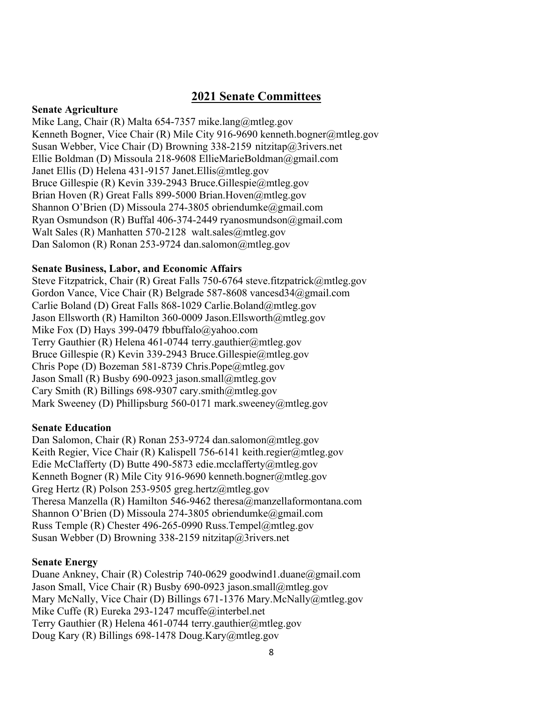# **2021 Senate Committees**

#### **Senate Agriculture**

Mike Lang, Chair (R) Malta 654-7357 mike.lang@mtleg.gov Kenneth Bogner, Vice Chair (R) Mile City 916-9690 kenneth.bogner@mtleg.gov Susan Webber, Vice Chair (D) Browning 338-2159 nitzitap@3rivers.net Ellie Boldman (D) Missoula 218-9608 EllieMarieBoldman@gmail.com Janet Ellis (D) Helena 431-9157 Janet.Ellis@mtleg.gov Bruce Gillespie (R) Kevin 339-2943 Bruce.Gillespie@mtleg.gov Brian Hoven (R) Great Falls 899-5000 Brian.Hoven@mtleg.gov Shannon O'Brien (D) Missoula 274-3805 obriendumke@gmail.com Ryan Osmundson (R) Buffal 406-374-2449 ryanosmundson@gmail.com Walt Sales (R) Manhatten 570-2128 walt.sales@mtleg.gov Dan Salomon (R) Ronan 253-9724 dan.salomon@mtleg.gov

#### **Senate Business, Labor, and Economic Affairs**

Steve Fitzpatrick, Chair (R) Great Falls 750-6764 steve.fitzpatrick@mtleg.gov Gordon Vance, Vice Chair (R) Belgrade 587-8608 vancesd34@gmail.com Carlie Boland (D) Great Falls 868-1029 Carlie.Boland@mtleg.gov Jason Ellsworth (R) Hamilton 360-0009 Jason.Ellsworth@mtleg.gov Mike Fox (D) Hays 399-0479 fbbuffalo@yahoo.com Terry Gauthier (R) Helena 461-0744 terry.gauthier@mtleg.gov Bruce Gillespie (R) Kevin 339-2943 Bruce.Gillespie@mtleg.gov Chris Pope (D) Bozeman 581-8739 Chris.Pope@mtleg.gov Jason Small (R) Busby 690-0923 jason.small@mtleg.gov Cary Smith (R) Billings 698-9307 cary.smith@mtleg.gov Mark Sweeney (D) Phillipsburg 560-0171 mark.sweeney@mtleg.gov

#### **Senate Education**

Dan Salomon, Chair (R) Ronan 253-9724 dan.salomon@mtleg.gov Keith Regier, Vice Chair (R) Kalispell 756-6141 keith.regier@mtleg.gov Edie McClafferty (D) Butte 490-5873 edie.mcclafferty@mtleg.gov Kenneth Bogner (R) Mile City 916-9690 kenneth.bogner@mtleg.gov Greg Hertz (R) Polson 253-9505 greg.hertz@mtleg.gov Theresa Manzella (R) Hamilton 546-9462 theresa@manzellaformontana.com Shannon O'Brien (D) Missoula 274-3805 obriendumke@gmail.com Russ Temple (R) Chester 496-265-0990 Russ.Tempel@mtleg.gov Susan Webber (D) Browning 338-2159 nitzitap@3rivers.net

#### **Senate Energy**

Duane Ankney, Chair (R) Colestrip 740-0629 goodwind1.duane@gmail.com Jason Small, Vice Chair (R) Busby 690-0923 jason.small@mtleg.gov Mary McNally, Vice Chair (D) Billings 671-1376 Mary.McNally@mtleg.gov Mike Cuffe (R) Eureka 293-1247 mcuffe@interbel.net Terry Gauthier (R) Helena 461-0744 terry.gauthier@mtleg.gov Doug Kary (R) Billings 698-1478 Doug.Kary@mtleg.gov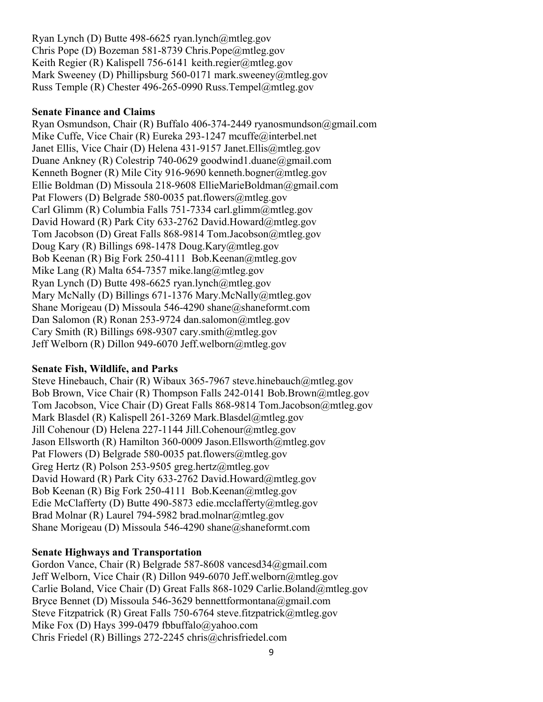Ryan Lynch (D) Butte 498-6625 ryan.lynch@mtleg.gov Chris Pope (D) Bozeman 581-8739 Chris.Pope@mtleg.gov Keith Regier (R) Kalispell 756-6141 keith.regier@mtleg.gov Mark Sweeney (D) Phillipsburg 560-0171 mark.sweeney@mtleg.gov Russ Temple (R) Chester 496-265-0990 Russ.Tempel@mtleg.gov

#### **Senate Finance and Claims**

Ryan Osmundson, Chair (R) Buffalo 406-374-2449 ryanosmundson@gmail.com Mike Cuffe, Vice Chair (R) Eureka 293-1247 mcuffe@interbel.net Janet Ellis, Vice Chair (D) Helena 431-9157 Janet.Ellis@mtleg.gov Duane Ankney (R) Colestrip 740-0629 goodwind1.duane@gmail.com Kenneth Bogner (R) Mile City 916-9690 kenneth.bogner@mtleg.gov Ellie Boldman (D) Missoula 218-9608 EllieMarieBoldman@gmail.com Pat Flowers (D) Belgrade 580-0035 pat.flowers@mtleg.gov Carl Glimm (R) Columbia Falls 751-7334 carl.glimm@mtleg.gov David Howard (R) Park City 633-2762 David.Howard@mtleg.gov Tom Jacobson (D) Great Falls 868-9814 Tom.Jacobson@mtleg.gov Doug Kary (R) Billings 698-1478 Doug.Kary@mtleg.gov Bob Keenan (R) Big Fork 250-4111 Bob.Keenan@mtleg.gov Mike Lang (R) Malta 654-7357 mike.lang@mtleg.gov Ryan Lynch (D) Butte 498-6625 ryan.lynch@mtleg.gov Mary McNally (D) Billings 671-1376 Mary.McNally@mtleg.gov Shane Morigeau (D) Missoula 546-4290 shane@shaneformt.com Dan Salomon (R) Ronan 253-9724 dan.salomon@mtleg.gov Cary Smith (R) Billings 698-9307 cary.smith@mtleg.gov Jeff Welborn (R) Dillon 949-6070 Jeff.welborn@mtleg.gov

#### **Senate Fish, Wildlife, and Parks**

Steve Hinebauch, Chair (R) Wibaux 365-7967 steve.hinebauch@mtleg.gov Bob Brown, Vice Chair (R) Thompson Falls 242-0141 Bob.Brown@mtleg.gov Tom Jacobson, Vice Chair (D) Great Falls 868-9814 Tom.Jacobson@mtleg.gov Mark Blasdel (R) Kalispell 261-3269 Mark.Blasdel@mtleg.gov Jill Cohenour (D) Helena 227-1144 Jill.Cohenour@mtleg.gov Jason Ellsworth (R) Hamilton 360-0009 Jason.Ellsworth@mtleg.gov Pat Flowers (D) Belgrade 580-0035 pat.flowers@mtleg.gov Greg Hertz (R) Polson 253-9505 greg.hertz@mtleg.gov David Howard (R) Park City 633-2762 David.Howard@mtleg.gov Bob Keenan (R) Big Fork 250-4111 Bob.Keenan@mtleg.gov Edie McClafferty (D) Butte 490-5873 edie.mcclafferty@mtleg.gov Brad Molnar (R) Laurel 794-5982 brad.molnar@mtleg.gov Shane Morigeau (D) Missoula 546-4290 shane@shaneformt.com

#### **Senate Highways and Transportation**

Gordon Vance, Chair (R) Belgrade 587-8608 vancesd34@gmail.com Jeff Welborn, Vice Chair (R) Dillon 949-6070 Jeff.welborn@mtleg.gov Carlie Boland, Vice Chair (D) Great Falls 868-1029 Carlie.Boland@mtleg.gov Bryce Bennet (D) Missoula 546-3629 bennettformontana@gmail.com Steve Fitzpatrick (R) Great Falls 750-6764 steve.fitzpatrick@mtleg.gov Mike Fox (D) Hays 399-0479 fbbuffalo@yahoo.com Chris Friedel (R) Billings 272-2245 chris@chrisfriedel.com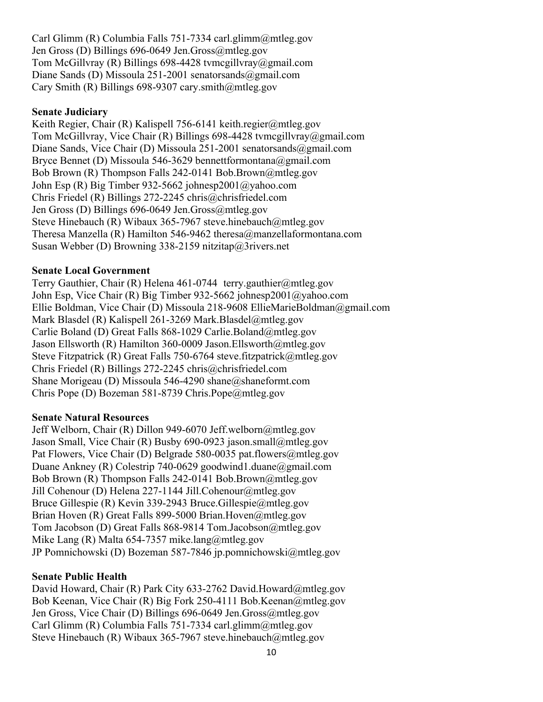Carl Glimm (R) Columbia Falls 751-7334 carl.glimm@mtleg.gov Jen Gross (D) Billings 696-0649 Jen.Gross@mtleg.gov Tom McGillvray (R) Billings 698-4428 tvmcgillvray@gmail.com Diane Sands (D) Missoula 251-2001 senatorsands  $\omega$ gmail.com Cary Smith (R) Billings 698-9307 cary.smith@mtleg.gov

#### **Senate Judiciary**

Keith Regier, Chair (R) Kalispell 756-6141 keith.regier@mtleg.gov Tom McGillvray, Vice Chair (R) Billings 698-4428 tvmcgillvray@gmail.com Diane Sands, Vice Chair (D) Missoula 251-2001 senatorsands@gmail.com Bryce Bennet (D) Missoula 546-3629 bennettformontana@gmail.com Bob Brown (R) Thompson Falls 242-0141 Bob.Brown@mtleg.gov John Esp (R) Big Timber 932-5662 johnesp2001@yahoo.com Chris Friedel (R) Billings 272-2245 chris@chrisfriedel.com Jen Gross (D) Billings 696-0649 Jen.Gross@mtleg.gov Steve Hinebauch (R) Wibaux 365-7967 steve.hinebauch@mtleg.gov Theresa Manzella (R) Hamilton 546-9462 theresa@manzellaformontana.com Susan Webber (D) Browning 338-2159 nitzitap@3rivers.net

#### **Senate Local Government**

Terry Gauthier, Chair (R) Helena 461-0744 terry.gauthier@mtleg.gov John Esp, Vice Chair (R) Big Timber 932-5662 johnesp2001@yahoo.com Ellie Boldman, Vice Chair (D) Missoula 218-9608 EllieMarieBoldman@gmail.com Mark Blasdel (R) Kalispell 261-3269 Mark.Blasdel@mtleg.gov Carlie Boland (D) Great Falls 868-1029 Carlie.Boland@mtleg.gov Jason Ellsworth (R) Hamilton 360-0009 Jason.Ellsworth@mtleg.gov Steve Fitzpatrick (R) Great Falls 750-6764 steve.fitzpatrick@mtleg.gov Chris Friedel (R) Billings 272-2245 chris@chrisfriedel.com Shane Morigeau (D) Missoula 546-4290 shane@shaneformt.com Chris Pope (D) Bozeman 581-8739 Chris.Pope@mtleg.gov

#### **Senate Natural Resources**

Jeff Welborn, Chair (R) Dillon 949-6070 Jeff.welborn@mtleg.gov Jason Small, Vice Chair (R) Busby 690-0923 jason.small@mtleg.gov Pat Flowers, Vice Chair (D) Belgrade 580-0035 pat.flowers@mtleg.gov Duane Ankney (R) Colestrip 740-0629 goodwind1.duane@gmail.com Bob Brown (R) Thompson Falls 242-0141 Bob.Brown@mtleg.gov Jill Cohenour (D) Helena 227-1144 Jill.Cohenour@mtleg.gov Bruce Gillespie (R) Kevin 339-2943 Bruce.Gillespie@mtleg.gov Brian Hoven (R) Great Falls 899-5000 Brian.Hoven@mtleg.gov Tom Jacobson (D) Great Falls 868-9814 Tom.Jacobson@mtleg.gov Mike Lang (R) Malta 654-7357 mike.lang@mtleg.gov JP Pomnichowski (D) Bozeman 587-7846 jp.pomnichowski@mtleg.gov

#### **Senate Public Health**

David Howard, Chair (R) Park City 633-2762 David.Howard@mtleg.gov Bob Keenan, Vice Chair (R) Big Fork 250-4111 Bob.Keenan@mtleg.gov Jen Gross, Vice Chair (D) Billings 696-0649 Jen.Gross@mtleg.gov Carl Glimm (R) Columbia Falls 751-7334 carl.glimm@mtleg.gov Steve Hinebauch (R) Wibaux 365-7967 steve.hinebauch@mtleg.gov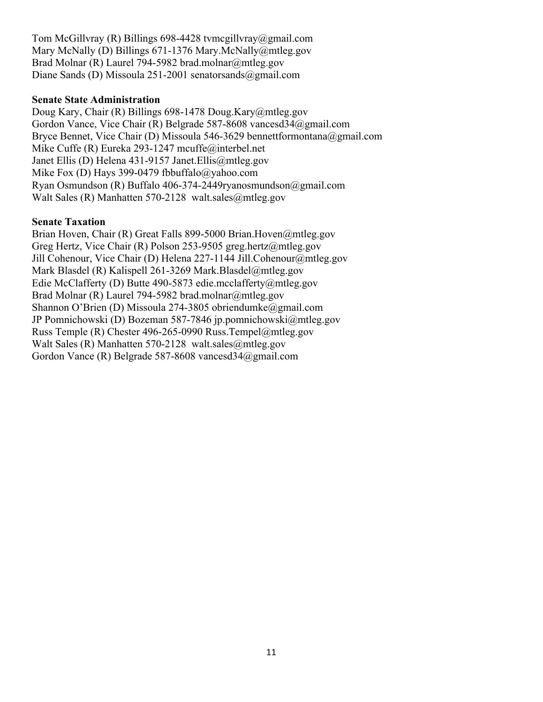Tom McGillvray (R) Billings 698-4428 tvmcgillvray@gmail.com Mary McNally (D) Billings 671-1376 Mary.McNally@mtleg.gov Brad Molnar (R) Laurel 794-5982 brad.molnar@mtleg.gov Diane Sands (D) Missoula 251-2001 senatorsands@gmail.com

#### **Senate State Administration**

Doug Kary, Chair (R) Billings 698-1478 Doug.Kary@mtleg.gov Gordon Vance, Vice Chair (R) Belgrade 587-8608 vancesd34@gmail.com Bryce Bennet, Vice Chair (D) Missoula 546-3629 bennettformontana@gmail.com Mike Cuffe (R) Eureka 293-1247 mcuffe@interbel.net Janet Ellis (D) Helena 431-9157 Janet.Ellis@mtleg.gov Mike Fox (D) Hays 399-0479 fbbuffalo@yahoo.com Ryan Osmundson (R) Buffalo 406-374-2449ryanosmundson@gmail.com Walt Sales (R) Manhatten 570-2128 walt.sales@mtleg.gov

#### **Senate Taxation**

Brian Hoven, Chair (R) Great Falls 899-5000 Brian.Hoven@mtleg.gov Greg Hertz, Vice Chair (R) Polson 253-9505 greg.hertz@mtleg.gov Jill Cohenour, Vice Chair (D) Helena 227-1144 Jill.Cohenour@mtleg.gov Mark Blasdel (R) Kalispell 261-3269 Mark.Blasdel@mtleg.gov Edie McClafferty (D) Butte 490-5873 edie.mcclafferty@mtleg.gov Brad Molnar (R) Laurel 794-5982 brad.molnar@mtleg.gov Shannon O'Brien (D) Missoula 274-3805 obriendumke@gmail.com JP Pomnichowski (D) Bozeman 587-7846 jp.pomnichowski@mtleg.gov Russ Temple (R) Chester 496-265-0990 Russ.Tempel@mtleg.gov Walt Sales (R) Manhatten 570-2128 walt.sales@mtleg.gov Gordon Vance (R) Belgrade 587-8608 vancesd34@gmail.com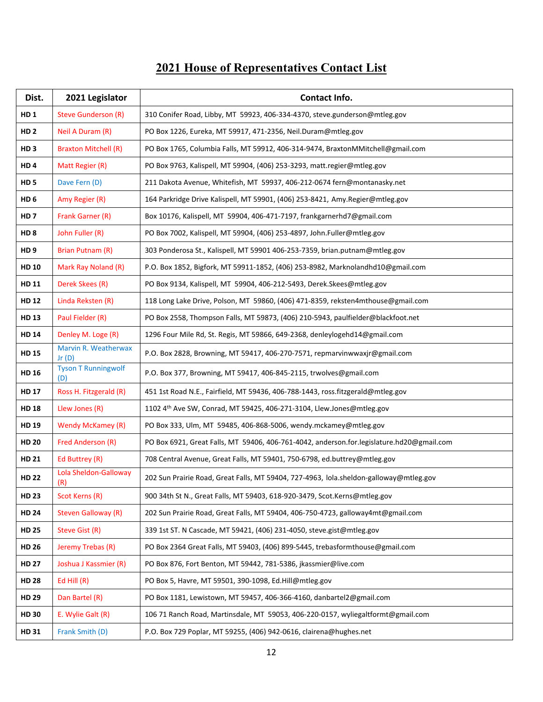# **2021 House of Representatives Contact List**

| Dist.           | 2021 Legislator                   | Contact Info.                                                                             |
|-----------------|-----------------------------------|-------------------------------------------------------------------------------------------|
| HD <sub>1</sub> | <b>Steve Gunderson (R)</b>        | 310 Conifer Road, Libby, MT 59923, 406-334-4370, steve.gunderson@mtleg.gov                |
| HD <sub>2</sub> | Neil A Duram (R)                  | PO Box 1226, Eureka, MT 59917, 471-2356, Neil.Duram@mtleg.gov                             |
| HD <sub>3</sub> | <b>Braxton Mitchell (R)</b>       | PO Box 1765, Columbia Falls, MT 59912, 406-314-9474, BraxtonMMitchell@gmail.com           |
| HD <sub>4</sub> | Matt Regier (R)                   | PO Box 9763, Kalispell, MT 59904, (406) 253-3293, matt.regier@mtleg.gov                   |
| HD <sub>5</sub> | Dave Fern (D)                     | 211 Dakota Avenue, Whitefish, MT 59937, 406-212-0674 fern@montanasky.net                  |
| HD <sub>6</sub> | Amy Regier (R)                    | 164 Parkridge Drive Kalispell, MT 59901, (406) 253-8421, Amy.Regier@mtleg.gov             |
| HD <sub>7</sub> | Frank Garner (R)                  | Box 10176, Kalispell, MT 59904, 406-471-7197, frankgarnerhd7@gmail.com                    |
| HD <sub>8</sub> | John Fuller (R)                   | PO Box 7002, Kalispell, MT 59904, (406) 253-4897, John.Fuller@mtleg.gov                   |
| HD <sub>9</sub> | Brian Putnam (R)                  | 303 Ponderosa St., Kalispell, MT 59901 406-253-7359, brian.putnam@mtleg.gov               |
| <b>HD 10</b>    | Mark Ray Noland (R)               | P.O. Box 1852, Bigfork, MT 59911-1852, (406) 253-8982, Marknolandhd10@gmail.com           |
| HD 11           | Derek Skees (R)                   | PO Box 9134, Kalispell, MT 59904, 406-212-5493, Derek.Skees@mtleg.gov                     |
| <b>HD 12</b>    | Linda Reksten (R)                 | 118 Long Lake Drive, Polson, MT 59860, (406) 471-8359, reksten4mthouse@gmail.com          |
| <b>HD 13</b>    | Paul Fielder (R)                  | PO Box 2558, Thompson Falls, MT 59873, (406) 210-5943, paulfielder@blackfoot.net          |
| <b>HD 14</b>    | Denley M. Loge (R)                | 1296 Four Mile Rd, St. Regis, MT 59866, 649-2368, denleylogehd14@gmail.com                |
| <b>HD 15</b>    | Marvin R. Weatherwax<br>Jr(D)     | P.O. Box 2828, Browning, MT 59417, 406-270-7571, repmarvinwwaxjr@gmail.com                |
| <b>HD 16</b>    | <b>Tyson T Runningwolf</b><br>(D) | P.O. Box 377, Browning, MT 59417, 406-845-2115, trwolves@gmail.com                        |
| <b>HD 17</b>    | Ross H. Fitzgerald (R)            | 451 1st Road N.E., Fairfield, MT 59436, 406-788-1443, ross.fitzgerald@mtleg.gov           |
| <b>HD 18</b>    | Llew Jones (R)                    | 1102 4th Ave SW, Conrad, MT 59425, 406-271-3104, Llew.Jones@mtleg.gov                     |
| HD 19           | Wendy McKamey (R)                 | PO Box 333, Ulm, MT 59485, 406-868-5006, wendy.mckamey@mtleg.gov                          |
| <b>HD 20</b>    | Fred Anderson (R)                 | PO Box 6921, Great Falls, MT 59406, 406-761-4042, anderson.for.legislature.hd20@gmail.com |
| <b>HD 21</b>    | Ed Buttrey (R)                    | 708 Central Avenue, Great Falls, MT 59401, 750-6798, ed.buttrey@mtleg.gov                 |
| <b>HD 22</b>    | Lola Sheldon-Galloway<br>(R)      | 202 Sun Prairie Road, Great Falls, MT 59404, 727-4963, Iola.sheldon-galloway@mtleg.gov    |
| <b>HD 23</b>    | Scot Kerns (R)                    | 900 34th St N., Great Falls, MT 59403, 618-920-3479, Scot.Kerns@mtleg.gov                 |
| <b>HD 24</b>    | <b>Steven Galloway (R)</b>        | 202 Sun Prairie Road, Great Falls, MT 59404, 406-750-4723, galloway4mt@gmail.com          |
| <b>HD 25</b>    | Steve Gist (R)                    | 339 1st ST. N Cascade, MT 59421, (406) 231-4050, steve.gist@mtleg.gov                     |
| <b>HD 26</b>    | Jeremy Trebas (R)                 | PO Box 2364 Great Falls, MT 59403, (406) 899-5445, trebasformthouse@gmail.com             |
| <b>HD 27</b>    | Joshua J Kassmier (R)             | PO Box 876, Fort Benton, MT 59442, 781-5386, jkassmier@live.com                           |
| <b>HD 28</b>    | Ed Hill $(R)$                     | PO Box 5, Havre, MT 59501, 390-1098, Ed.Hill@mtleg.gov                                    |
| <b>HD 29</b>    | Dan Bartel (R)                    | PO Box 1181, Lewistown, MT 59457, 406-366-4160, danbartel2@gmail.com                      |
| <b>HD 30</b>    | E. Wylie Galt (R)                 | 106 71 Ranch Road, Martinsdale, MT 59053, 406-220-0157, wyliegaltformt@gmail.com          |
| <b>HD 31</b>    | Frank Smith (D)                   | P.O. Box 729 Poplar, MT 59255, (406) 942-0616, clairena@hughes.net                        |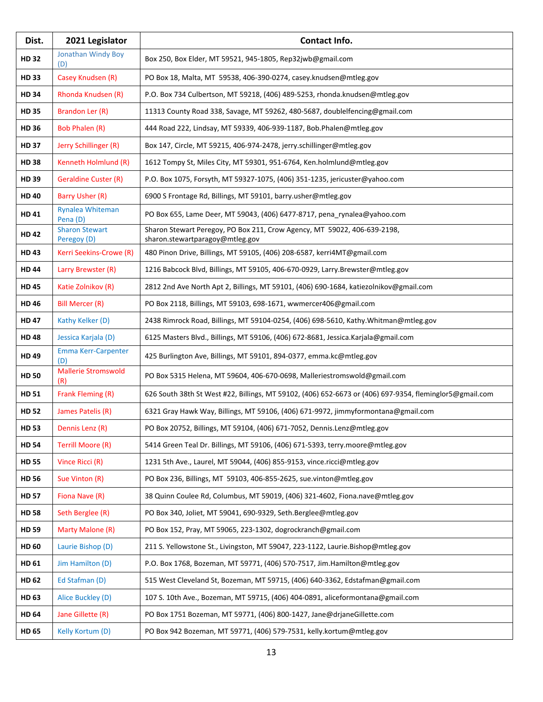| Dist.        | 2021 Legislator                      | Contact Info.                                                                                               |
|--------------|--------------------------------------|-------------------------------------------------------------------------------------------------------------|
| <b>HD 32</b> | Jonathan Windy Boy<br>(D)            | Box 250, Box Elder, MT 59521, 945-1805, Rep32jwb@gmail.com                                                  |
| <b>HD33</b>  | Casey Knudsen (R)                    | PO Box 18, Malta, MT 59538, 406-390-0274, casey.knudsen@mtleg.gov                                           |
| <b>HD 34</b> | Rhonda Knudsen (R)                   | P.O. Box 734 Culbertson, MT 59218, (406) 489-5253, rhonda.knudsen@mtleg.gov                                 |
| <b>HD 35</b> | Brandon Ler (R)                      | 11313 County Road 338, Savage, MT 59262, 480-5687, doublelfencing@gmail.com                                 |
| <b>HD 36</b> | <b>Bob Phalen (R)</b>                | 444 Road 222, Lindsay, MT 59339, 406-939-1187, Bob.Phalen@mtleg.gov                                         |
| <b>HD 37</b> | Jerry Schillinger (R)                | Box 147, Circle, MT 59215, 406-974-2478, jerry.schillinger@mtleg.gov                                        |
| <b>HD38</b>  | Kenneth Holmlund (R)                 | 1612 Tompy St, Miles City, MT 59301, 951-6764, Ken.holmlund@mtleg.gov                                       |
| <b>HD 39</b> | <b>Geraldine Custer (R)</b>          | P.O. Box 1075, Forsyth, MT 59327-1075, (406) 351-1235, jericuster@yahoo.com                                 |
| <b>HD 40</b> | Barry Usher (R)                      | 6900 S Frontage Rd, Billings, MT 59101, barry.usher@mtleg.gov                                               |
| <b>HD 41</b> | <b>Rynalea Whiteman</b><br>Pena (D)  | PO Box 655, Lame Deer, MT 59043, (406) 6477-8717, pena_rynalea@yahoo.com                                    |
| <b>HD 42</b> | <b>Sharon Stewart</b><br>Peregoy (D) | Sharon Stewart Peregoy, PO Box 211, Crow Agency, MT 59022, 406-639-2198,<br>sharon.stewartparagoy@mtleg.gov |
| <b>HD43</b>  | Kerri Seekins-Crowe (R)              | 480 Pinon Drive, Billings, MT 59105, (406) 208-6587, kerri4MT@gmail.com                                     |
| <b>HD 44</b> | Larry Brewster (R)                   | 1216 Babcock Blvd, Billings, MT 59105, 406-670-0929, Larry.Brewster@mtleg.gov                               |
| <b>HD45</b>  | Katie Zolnikov (R)                   | 2812 2nd Ave North Apt 2, Billings, MT 59101, (406) 690-1684, katiezolnikov@gmail.com                       |
| <b>HD 46</b> | <b>Bill Mercer (R)</b>               | PO Box 2118, Billings, MT 59103, 698-1671, wwmercer406@gmail.com                                            |
| <b>HD 47</b> | Kathy Kelker (D)                     | 2438 Rimrock Road, Billings, MT 59104-0254, (406) 698-5610, Kathy. Whitman@mtleg.gov                        |
| <b>HD48</b>  | Jessica Karjala (D)                  | 6125 Masters Blvd., Billings, MT 59106, (406) 672-8681, Jessica.Karjala@gmail.com                           |
| <b>HD49</b>  | <b>Emma Kerr-Carpenter</b><br>(D)    | 425 Burlington Ave, Billings, MT 59101, 894-0377, emma.kc@mtleg.gov                                         |
| <b>HD 50</b> | <b>Mallerie Stromswold</b><br>(R)    | PO Box 5315 Helena, MT 59604, 406-670-0698, Malleriestromswold@gmail.com                                    |
| <b>HD 51</b> | Frank Fleming (R)                    | 626 South 38th St West #22, Billings, MT 59102, (406) 652-6673 or (406) 697-9354, fleminglor5@gmail.com     |
| <b>HD 52</b> | James Patelis (R)                    | 6321 Gray Hawk Way, Billings, MT 59106, (406) 671-9972, jimmyformontana@gmail.com                           |
| <b>HD 53</b> | Dennis Lenz (R)                      | PO Box 20752, Billings, MT 59104, (406) 671-7052, Dennis.Lenz@mtleg.gov                                     |
| <b>HD 54</b> | Terrill Moore (R)                    | 5414 Green Teal Dr. Billings, MT 59106, (406) 671-5393, terry.moore@mtleg.gov                               |
| <b>HD 55</b> | Vince Ricci (R)                      | 1231 5th Ave., Laurel, MT 59044, (406) 855-9153, vince.ricci@mtleg.gov                                      |
| <b>HD 56</b> | Sue Vinton (R)                       | PO Box 236, Billings, MT 59103, 406-855-2625, sue.vinton@mtleg.gov                                          |
| <b>HD 57</b> | Fiona Nave (R)                       | 38 Quinn Coulee Rd, Columbus, MT 59019, (406) 321-4602, Fiona.nave@mtleg.gov                                |
| <b>HD 58</b> | Seth Berglee (R)                     | PO Box 340, Joliet, MT 59041, 690-9329, Seth.Berglee@mtleg.gov                                              |
| <b>HD 59</b> | Marty Malone (R)                     | PO Box 152, Pray, MT 59065, 223-1302, dogrockranch@gmail.com                                                |
| HD 60        | Laurie Bishop (D)                    | 211 S. Yellowstone St., Livingston, MT 59047, 223-1122, Laurie.Bishop@mtleg.gov                             |
| <b>HD 61</b> | Jim Hamilton (D)                     | P.O. Box 1768, Bozeman, MT 59771, (406) 570-7517, Jim.Hamilton@mtleg.gov                                    |
| <b>HD 62</b> | Ed Stafman (D)                       | 515 West Cleveland St, Bozeman, MT 59715, (406) 640-3362, Edstafman@gmail.com                               |
| HD 63        | Alice Buckley (D)                    | 107 S. 10th Ave., Bozeman, MT 59715, (406) 404-0891, aliceformontana@gmail.com                              |
| <b>HD 64</b> | Jane Gillette (R)                    | PO Box 1751 Bozeman, MT 59771, (406) 800-1427, Jane@drjaneGillette.com                                      |
| <b>HD 65</b> | Kelly Kortum (D)                     | PO Box 942 Bozeman, MT 59771, (406) 579-7531, kelly.kortum@mtleg.gov                                        |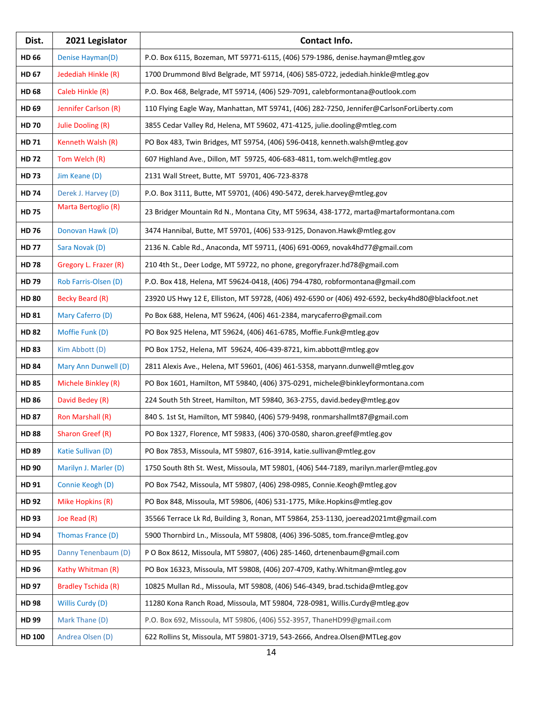| Dist.        | 2021 Legislator            | Contact Info.                                                                                     |
|--------------|----------------------------|---------------------------------------------------------------------------------------------------|
| <b>HD 66</b> | Denise Hayman(D)           | P.O. Box 6115, Bozeman, MT 59771-6115, (406) 579-1986, denise.hayman@mtleg.gov                    |
| <b>HD 67</b> | Jedediah Hinkle (R)        | 1700 Drummond Blvd Belgrade, MT 59714, (406) 585-0722, jedediah.hinkle@mtleg.gov                  |
| <b>HD 68</b> | Caleb Hinkle (R)           | P.O. Box 468, Belgrade, MT 59714, (406) 529-7091, calebformontana@outlook.com                     |
| HD 69        | Jennifer Carlson (R)       | 110 Flying Eagle Way, Manhattan, MT 59741, (406) 282-7250, Jennifer@CarlsonForLiberty.com         |
| <b>HD 70</b> | Julie Dooling (R)          | 3855 Cedar Valley Rd, Helena, MT 59602, 471-4125, julie.dooling@mtleg.com                         |
| <b>HD 71</b> | Kenneth Walsh (R)          | PO Box 483, Twin Bridges, MT 59754, (406) 596-0418, kenneth.walsh@mtleg.gov                       |
| <b>HD 72</b> | Tom Welch (R)              | 607 Highland Ave., Dillon, MT 59725, 406-683-4811, tom.welch@mtleg.gov                            |
| <b>HD73</b>  | Jim Keane (D)              | 2131 Wall Street, Butte, MT 59701, 406-723-8378                                                   |
| <b>HD 74</b> | Derek J. Harvey (D)        | P.O. Box 3111, Butte, MT 59701, (406) 490-5472, derek.harvey@mtleg.gov                            |
| <b>HD 75</b> | Marta Bertoglio (R)        | 23 Bridger Mountain Rd N., Montana City, MT 59634, 438-1772, marta@martaformontana.com            |
| <b>HD 76</b> | Donovan Hawk (D)           | 3474 Hannibal, Butte, MT 59701, (406) 533-9125, Donavon.Hawk@mtleg.gov                            |
| <b>HD 77</b> | Sara Novak (D)             | 2136 N. Cable Rd., Anaconda, MT 59711, (406) 691-0069, novak4hd77@gmail.com                       |
| <b>HD 78</b> | Gregory L. Frazer (R)      | 210 4th St., Deer Lodge, MT 59722, no phone, gregoryfrazer.hd78@gmail.com                         |
| HD 79        | Rob Farris-Olsen (D)       | P.O. Box 418, Helena, MT 59624-0418, (406) 794-4780, robformontana@gmail.com                      |
| <b>HD 80</b> | <b>Becky Beard (R)</b>     | 23920 US Hwy 12 E, Elliston, MT 59728, (406) 492-6590 or (406) 492-6592, becky4hd80@blackfoot.net |
| <b>HD 81</b> | Mary Caferro (D)           | Po Box 688, Helena, MT 59624, (406) 461-2384, marycaferro@gmail.com                               |
| <b>HD 82</b> | Moffie Funk (D)            | PO Box 925 Helena, MT 59624, (406) 461-6785, Moffie.Funk@mtleg.gov                                |
| <b>HD 83</b> | Kim Abbott (D)             | PO Box 1752, Helena, MT 59624, 406-439-8721, kim.abbott@mtleg.gov                                 |
| <b>HD 84</b> | Mary Ann Dunwell (D)       | 2811 Alexis Ave., Helena, MT 59601, (406) 461-5358, maryann.dunwell@mtleg.gov                     |
| <b>HD 85</b> | Michele Binkley (R)        | PO Box 1601, Hamilton, MT 59840, (406) 375-0291, michele@binkleyformontana.com                    |
| <b>HD 86</b> | David Bedey (R)            | 224 South 5th Street, Hamilton, MT 59840, 363-2755, david.bedey@mtleg.gov                         |
| <b>HD 87</b> | Ron Marshall (R)           | 840 S. 1st St, Hamilton, MT 59840, (406) 579-9498, ronmarshallmt87@gmail.com                      |
| <b>HD 88</b> | Sharon Greef (R)           | PO Box 1327, Florence, MT 59833, (406) 370-0580, sharon.greef@mtleg.gov                           |
| <b>HD 89</b> | Katie Sullivan (D)         | PO Box 7853, Missoula, MT 59807, 616-3914, katie.sullivan@mtleg.gov                               |
| HD 90        | Marilyn J. Marler (D)      | 1750 South 8th St. West, Missoula, MT 59801, (406) 544-7189, marilyn.marler@mtleg.gov             |
| HD 91        | Connie Keogh (D)           | PO Box 7542, Missoula, MT 59807, (406) 298-0985, Connie.Keogh@mtleg.gov                           |
| <b>HD 92</b> | Mike Hopkins (R)           | PO Box 848, Missoula, MT 59806, (406) 531-1775, Mike.Hopkins@mtleg.gov                            |
| <b>HD 93</b> | Joe Read (R)               | 35566 Terrace Lk Rd, Building 3, Ronan, MT 59864, 253-1130, joeread2021mt@gmail.com               |
| <b>HD 94</b> | Thomas France (D)          | 5900 Thornbird Ln., Missoula, MT 59808, (406) 396-5085, tom.france@mtleg.gov                      |
| <b>HD 95</b> | Danny Tenenbaum (D)        | P O Box 8612, Missoula, MT 59807, (406) 285-1460, drtenenbaum@gmail.com                           |
| <b>HD 96</b> | Kathy Whitman (R)          | PO Box 16323, Missoula, MT 59808, (406) 207-4709, Kathy. Whitman@mtleg.gov                        |
| <b>HD 97</b> | <b>Bradley Tschida (R)</b> | 10825 Mullan Rd., Missoula, MT 59808, (406) 546-4349, brad.tschida@mtleg.gov                      |
| <b>HD 98</b> | Willis Curdy (D)           | 11280 Kona Ranch Road, Missoula, MT 59804, 728-0981, Willis.Curdy@mtleg.gov                       |
| HD 99        | Mark Thane (D)             | P.O. Box 692, Missoula, MT 59806, (406) 552-3957, ThaneHD99@gmail.com                             |
| HD 100       | Andrea Olsen (D)           | 622 Rollins St, Missoula, MT 59801-3719, 543-2666, Andrea.Olsen@MTLeg.gov                         |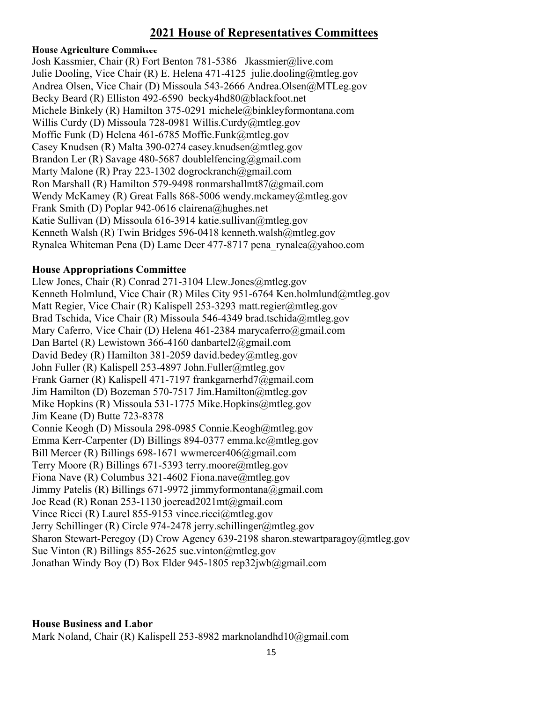# **2021 House of Representatives Committees**

#### **House Agriculture Committee**

Josh Kassmier, Chair (R) Fort Benton 781-5386 Jkassmier@live.com Julie Dooling, Vice Chair (R) E. Helena 471-4125 julie.dooling@mtleg.gov Andrea Olsen, Vice Chair (D) Missoula 543-2666 Andrea.Olsen@MTLeg.gov Becky Beard (R) Elliston 492-6590 becky4hd80@blackfoot.net Michele Binkely (R) Hamilton 375-0291 michele@binkleyformontana.com Willis Curdy (D) Missoula 728-0981 Willis.Curdy@mtleg.gov Moffie Funk (D) Helena 461-6785 Moffie.Funk@mtleg.gov Casey Knudsen (R) Malta 390-0274 casey.knudsen@mtleg.gov Brandon Ler (R) Savage 480-5687 doublelfencing@gmail.com Marty Malone (R) Pray 223-1302 dogrockranch@gmail.com Ron Marshall (R) Hamilton 579-9498 ronmarshallmt87@gmail.com Wendy McKamey (R) Great Falls 868-5006 wendy.mckamey@mtleg.gov Frank Smith (D) Poplar 942-0616 clairena@hughes.net Katie Sullivan (D) Missoula 616-3914 katie.sullivan@mtleg.gov Kenneth Walsh (R) Twin Bridges 596-0418 kenneth.walsh@mtleg.gov Rynalea Whiteman Pena (D) Lame Deer 477-8717 pena\_rynalea@yahoo.com

#### **House Appropriations Committee**

Llew Jones, Chair (R) Conrad 271-3104 Llew.Jones@mtleg.gov Kenneth Holmlund, Vice Chair (R) Miles City 951-6764 Ken.holmlund@mtleg.gov Matt Regier, Vice Chair (R) Kalispell 253-3293 matt.regier@mtleg.gov Brad Tschida, Vice Chair (R) Missoula 546-4349 brad.tschida@mtleg.gov Mary Caferro, Vice Chair (D) Helena 461-2384 marycaferro@gmail.com Dan Bartel (R) Lewistown 366-4160 danbartel2@gmail.com David Bedey (R) Hamilton 381-2059 david.bedey@mtleg.gov John Fuller (R) Kalispell 253-4897 John.Fuller@mtleg.gov Frank Garner (R) Kalispell 471-7197 frankgarnerhd7@gmail.com Jim Hamilton (D) Bozeman 570-7517 Jim.Hamilton@mtleg.gov Mike Hopkins (R) Missoula 531-1775 Mike.Hopkins@mtleg.gov Jim Keane (D) Butte 723-8378 Connie Keogh (D) Missoula 298-0985 Connie.Keogh@mtleg.gov Emma Kerr-Carpenter (D) Billings 894-0377 emma.kc@mtleg.gov Bill Mercer (R) Billings 698-1671 wwmercer406@gmail.com Terry Moore (R) Billings 671-5393 terry.moore@mtleg.gov Fiona Nave (R) Columbus 321-4602 Fiona.nave@mtleg.gov Jimmy Patelis (R) Billings 671-9972 jimmyformontana@gmail.com Joe Read (R) Ronan 253-1130 joeread2021mt@gmail.com Vince Ricci (R) Laurel 855-9153 vince.ricci@mtleg.gov Jerry Schillinger (R) Circle 974-2478 jerry.schillinger@mtleg.gov Sharon Stewart-Peregoy (D) Crow Agency 639-2198 sharon.stewartparagoy@mtleg.gov Sue Vinton (R) Billings 855-2625 sue.vinton@mtleg.gov Jonathan Windy Boy (D) Box Elder 945-1805 rep32jwb@gmail.com

#### **House Business and Labor**

Mark Noland, Chair (R) Kalispell 253-8982 marknolandhd10@gmail.com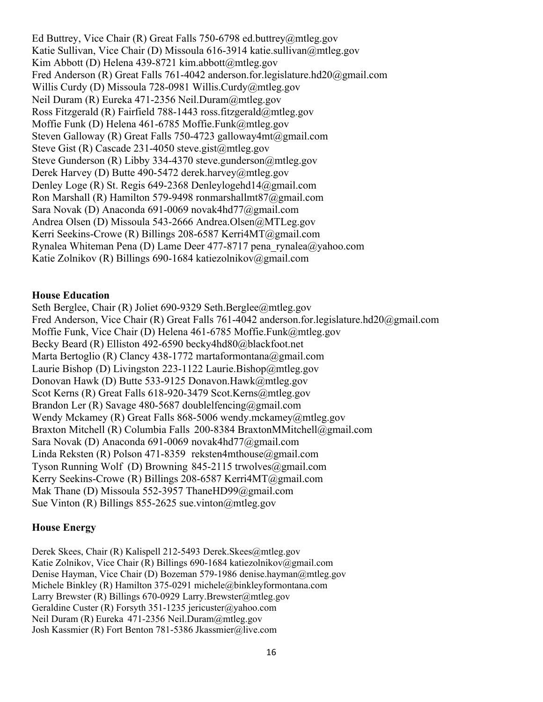Ed Buttrey, Vice Chair (R) Great Falls 750-6798 ed.buttrey@mtleg.gov Katie Sullivan, Vice Chair (D) Missoula 616-3914 katie.sullivan@mtleg.gov Kim Abbott (D) Helena 439-8721 kim.abbott@mtleg.gov Fred Anderson (R) Great Falls 761-4042 anderson.for.legislature.hd20@gmail.com Willis Curdy (D) Missoula 728-0981 Willis.Curdy@mtleg.gov Neil Duram (R) Eureka 471-2356 Neil.Duram@mtleg.gov Ross Fitzgerald (R) Fairfield 788-1443 ross.fitzgerald@mtleg.gov Moffie Funk (D) Helena 461-6785 Moffie.Funk@mtleg.gov Steven Galloway (R) Great Falls 750-4723 galloway4mt@gmail.com Steve Gist (R) Cascade 231-4050 steve.gist@mtleg.gov Steve Gunderson (R) Libby 334-4370 steve.gunderson@mtleg.gov Derek Harvey (D) Butte 490-5472 derek.harvey@mtleg.gov Denley Loge (R) St. Regis 649-2368 Denleylogehd14@gmail.com Ron Marshall (R) Hamilton 579-9498 ronmarshallmt87@gmail.com Sara Novak (D) Anaconda 691-0069 novak4hd77@gmail.com Andrea Olsen (D) Missoula 543-2666 Andrea.Olsen@MTLeg.gov Kerri Seekins-Crowe (R) Billings 208-6587 Kerri4MT@gmail.com Rynalea Whiteman Pena (D) Lame Deer 477-8717 pena\_rynalea@yahoo.com Katie Zolnikov (R) Billings 690-1684 katiezolnikov@gmail.com

#### **House Education**

Seth Berglee, Chair (R) Joliet 690-9329 Seth.Berglee@mtleg.gov Fred Anderson, Vice Chair (R) Great Falls 761-4042 anderson.for.legislature.hd20@gmail.com Moffie Funk, Vice Chair (D) Helena 461-6785 Moffie.Funk@mtleg.gov Becky Beard (R) Elliston 492-6590 becky4hd80@blackfoot.net Marta Bertoglio (R) Clancy 438-1772 martaformontana@gmail.com Laurie Bishop (D) Livingston 223-1122 Laurie.Bishop@mtleg.gov Donovan Hawk (D) Butte 533-9125 Donavon.Hawk@mtleg.gov Scot Kerns (R) Great Falls 618-920-3479 Scot.Kerns@mtleg.gov Brandon Ler (R) Savage 480-5687 doublelfencing@gmail.com Wendy Mckamey (R) Great Falls 868-5006 wendy.mckamey@mtleg.gov Braxton Mitchell (R) Columbia Falls 200-8384 BraxtonMMitchell@gmail.com Sara Novak (D) Anaconda 691-0069 novak4hd77@gmail.com Linda Reksten (R) Polson 471-8359 reksten4mthouse@gmail.com Tyson Running Wolf (D) Browning 845-2115 trwolves@gmail.com Kerry Seekins-Crowe (R) Billings 208-6587 Kerri4MT@gmail.com Mak Thane (D) Missoula 552-3957 ThaneHD99@gmail.com Sue Vinton (R) Billings 855-2625 sue.vinton@mtleg.gov

#### **House Energy**

Derek Skees, Chair (R) Kalispell 212-5493 Derek.Skees@mtleg.gov Katie Zolnikov, Vice Chair (R) Billings 690-1684 katiezolnikov@gmail.com Denise Hayman, Vice Chair (D) Bozeman 579-1986 denise.hayman@mtleg.gov Michele Binkley (R) Hamilton 375-0291 michele@binkleyformontana.com Larry Brewster (R) Billings 670-0929 Larry.Brewster@mtleg.gov Geraldine Custer (R) Forsyth 351-1235 jericuster@yahoo.com Neil Duram (R) Eureka 471-2356 Neil.Duram@mtleg.gov Josh Kassmier (R) Fort Benton 781-5386 Jkassmier@live.com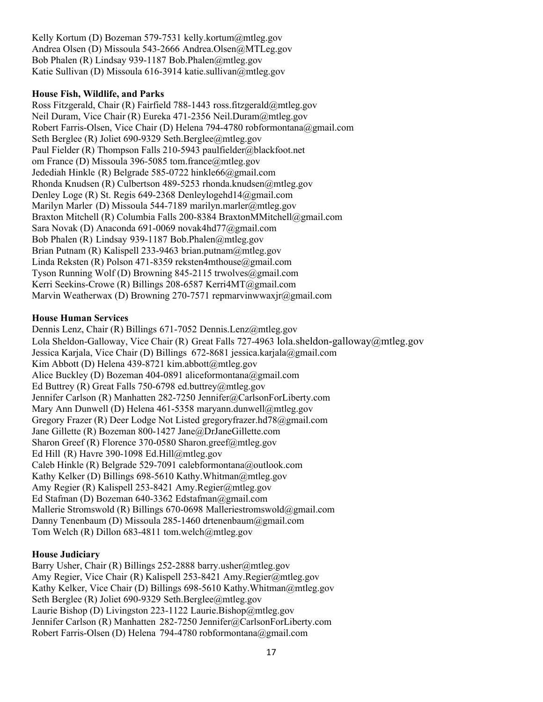Kelly Kortum (D) Bozeman 579-7531 kelly.kortum@mtleg.gov Andrea Olsen (D) Missoula 543-2666 Andrea.Olsen@MTLeg.gov Bob Phalen (R) Lindsay 939-1187 Bob.Phalen@mtleg.gov Katie Sullivan (D) Missoula 616-3914 katie.sullivan@mtleg.gov

#### **House Fish, Wildlife, and Parks**

Ross Fitzgerald, Chair (R) Fairfield 788-1443 ross.fitzgerald@mtleg.gov Neil Duram, Vice Chair (R) Eureka 471-2356 Neil.Duram@mtleg.gov Robert Farris-Olsen, Vice Chair (D) Helena 794-4780 robformontana@gmail.com Seth Berglee (R) Joliet 690-9329 Seth.Berglee@mtleg.gov Paul Fielder (R) Thompson Falls 210-5943 paulfielder@blackfoot.net om France (D) Missoula 396-5085 tom.france@mtleg.gov Jedediah Hinkle (R) Belgrade 585-0722 hinkle66@gmail.com Rhonda Knudsen (R) Culbertson 489-5253 rhonda.knudsen@mtleg.gov Denley Loge (R) St. Regis 649-2368 Denleylogehd14@gmail.com Marilyn Marler (D) Missoula 544-7189 marilyn.marler@mtleg.gov Braxton Mitchell (R) Columbia Falls 200-8384 BraxtonMMitchell@gmail.com Sara Novak (D) Anaconda 691-0069 novak4hd77@gmail.com Bob Phalen (R) Lindsay 939-1187 Bob.Phalen@mtleg.gov Brian Putnam (R) Kalispell 233-9463 brian.putnam@mtleg.gov Linda Reksten (R) Polson 471-8359 reksten4mthouse@gmail.com Tyson Running Wolf (D) Browning 845-2115 trwolves@gmail.com Kerri Seekins-Crowe (R) Billings 208-6587 Kerri4MT@gmail.com Marvin Weatherwax (D) Browning 270-7571 repmarvinwwaxjr@gmail.com

#### **House Human Services**

Dennis Lenz, Chair (R) Billings 671-7052 Dennis.Lenz@mtleg.gov Lola Sheldon-Galloway, Vice Chair (R) Great Falls 727-4963 lola.sheldon-galloway@mtleg.gov Jessica Karjala, Vice Chair (D) Billings 672-8681 jessica.karjala@gmail.com Kim Abbott (D) Helena 439-8721 kim.abbott@mtleg.gov Alice Buckley (D) Bozeman 404-0891 aliceformontana@gmail.com Ed Buttrey (R) Great Falls 750-6798 ed.buttrey@mtleg.gov Jennifer Carlson (R) Manhatten 282-7250 Jennifer@CarlsonForLiberty.com Mary Ann Dunwell (D) Helena 461-5358 maryann.dunwell@mtleg.gov Gregory Frazer (R) Deer Lodge Not Listed gregoryfrazer.hd78@gmail.com Jane Gillette (R) Bozeman 800-1427 Jane@DrJaneGillette.com Sharon Greef (R) Florence 370-0580 Sharon.greef@mtleg.gov Ed Hill (R) Havre 390-1098 Ed.Hill@mtleg.gov Caleb Hinkle (R) Belgrade 529-7091 calebformontana@outlook.com Kathy Kelker (D) Billings 698-5610 Kathy.Whitman@mtleg.gov Amy Regier (R) Kalispell 253-8421 Amy.Regier@mtleg.gov Ed Stafman (D) Bozeman 640-3362 Edstafman@gmail.com Mallerie Stromswold (R) Billings 670-0698 Malleriestromswold@gmail.com Danny Tenenbaum (D) Missoula 285-1460 drtenenbaum@gmail.com Tom Welch (R) Dillon 683-4811 tom.welch@mtleg.gov

#### **House Judiciary**

Barry Usher, Chair (R) Billings 252-2888 barry.usher@mtleg.gov Amy Regier, Vice Chair (R) Kalispell 253-8421 Amy Regier@mtleg.gov Kathy Kelker, Vice Chair (D) Billings 698-5610 Kathy.Whitman@mtleg.gov Seth Berglee (R) Joliet 690-9329 Seth.Berglee@mtleg.gov Laurie Bishop (D) Livingston 223-1122 Laurie.Bishop@mtleg.gov Jennifer Carlson (R) Manhatten 282-7250 Jennifer@CarlsonForLiberty.com Robert Farris-Olsen (D) Helena 794-4780 robformontana@gmail.com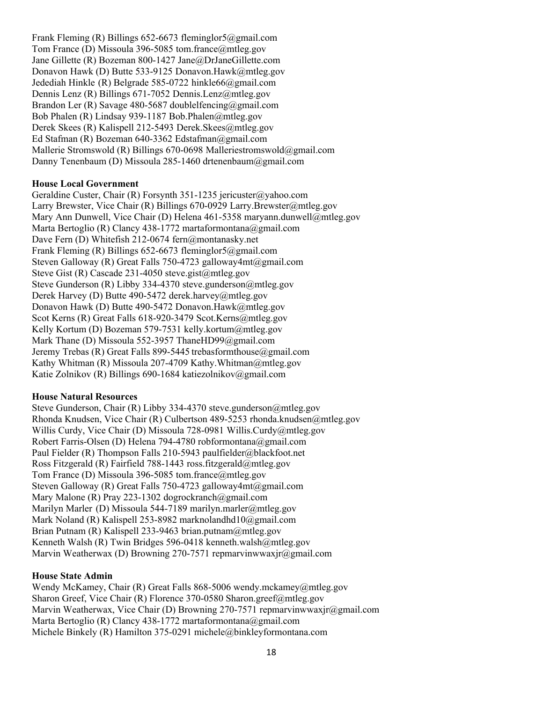Frank Fleming (R) Billings 652-6673 fleminglor5@gmail.com Tom France (D) Missoula 396-5085 tom.france@mtleg.gov Jane Gillette (R) Bozeman 800-1427 Jane@DrJaneGillette.com Donavon Hawk (D) Butte 533-9125 Donavon.Hawk@mtleg.gov Jedediah Hinkle (R) Belgrade 585-0722 hinkle66@gmail.com Dennis Lenz (R) Billings 671-7052 Dennis.Lenz@mtleg.gov Brandon Ler (R) Savage 480-5687 doublelfencing@gmail.com Bob Phalen (R) Lindsay 939-1187 Bob.Phalen@mtleg.gov Derek Skees (R) Kalispell 212-5493 Derek.Skees@mtleg.gov Ed Stafman (R) Bozeman 640-3362 Edstafman@gmail.com Mallerie Stromswold (R) Billings 670-0698 Malleriestromswold@gmail.com Danny Tenenbaum (D) Missoula 285-1460 drtenenbaum@gmail.com

#### **House Local Government**

Geraldine Custer, Chair (R) Forsynth 351-1235 jericuster@yahoo.com Larry Brewster, Vice Chair (R) Billings 670-0929 Larry.Brewster@mtleg.gov Mary Ann Dunwell, Vice Chair (D) Helena 461-5358 maryann.dunwell@mtleg.gov Marta Bertoglio (R) Clancy 438-1772 martaformontana@gmail.com Dave Fern (D) Whitefish 212-0674 fern@montanasky.net Frank Fleming (R) Billings 652-6673 fleminglor5@gmail.com Steven Galloway (R) Great Falls 750-4723 galloway4mt@gmail.com Steve Gist (R) Cascade 231-4050 steve.gist@mtleg.gov Steve Gunderson (R) Libby 334-4370 steve.gunderson@mtleg.gov Derek Harvey (D) Butte 490-5472 derek.harvey@mtleg.gov Donavon Hawk (D) Butte 490-5472 Donavon.Hawk@mtleg.gov Scot Kerns (R) Great Falls 618-920-3479 Scot.Kerns@mtleg.gov Kelly Kortum (D) Bozeman 579-7531 kelly.kortum@mtleg.gov Mark Thane (D) Missoula 552-3957 ThaneHD99@gmail.com Jeremy Trebas (R) Great Falls 899-5445 trebasformthouse@gmail.com Kathy Whitman (R) Missoula 207-4709 Kathy.Whitman@mtleg.gov Katie Zolnikov (R) Billings 690-1684 katiezolnikov@gmail.com

#### **House Natural Resources**

Steve Gunderson, Chair (R) Libby 334-4370 steve.gunderson@mtleg.gov Rhonda Knudsen, Vice Chair (R) Culbertson 489-5253 rhonda.knudsen@mtleg.gov Willis Curdy, Vice Chair (D) Missoula 728-0981 Willis.Curdy@mtleg.gov Robert Farris-Olsen (D) Helena 794-4780 robformontana@gmail.com Paul Fielder (R) Thompson Falls 210-5943 paulfielder@blackfoot.net Ross Fitzgerald (R) Fairfield 788-1443 ross.fitzgerald@mtleg.gov Tom France (D) Missoula 396-5085 tom.france@mtleg.gov Steven Galloway (R) Great Falls 750-4723 galloway4mt@gmail.com Mary Malone (R) Pray 223-1302 dogrockranch@gmail.com Marilyn Marler (D) Missoula 544-7189 marilyn.marler@mtleg.gov Mark Noland (R) Kalispell 253-8982 marknolandhd10@gmail.com Brian Putnam (R) Kalispell 233-9463 brian.putnam@mtleg.gov Kenneth Walsh (R) Twin Bridges 596-0418 kenneth.walsh@mtleg.gov Marvin Weatherwax (D) Browning 270-7571 repmarvinwwaxjr@gmail.com

#### **House State Admin**

Wendy McKamey, Chair (R) Great Falls 868-5006 wendy.mckamey@mtleg.gov Sharon Greef, Vice Chair (R) Florence 370-0580 Sharon.greef@mtleg.gov Marvin Weatherwax, Vice Chair (D) Browning 270-7571 repmarvinwwaxjr@gmail.com Marta Bertoglio (R) Clancy 438-1772 martaformontana@gmail.com Michele Binkely (R) Hamilton 375-0291 michele@binkleyformontana.com